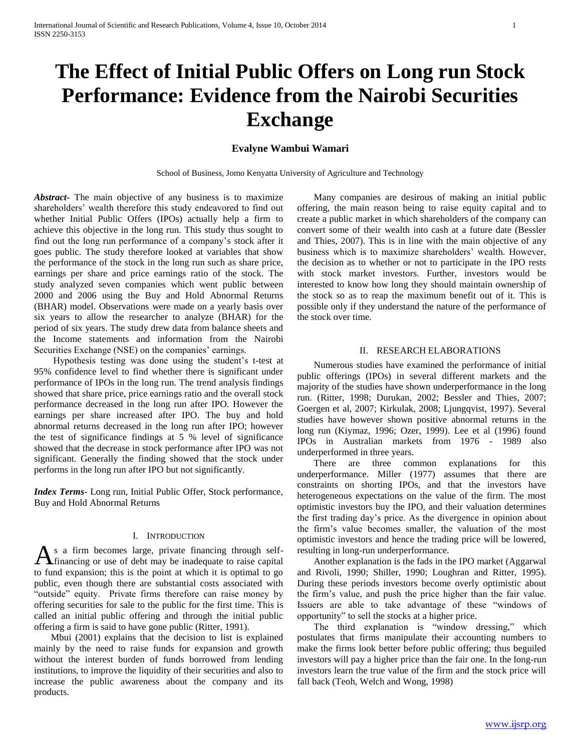# **The Effect of Initial Public Offers on Long run Stock Performance: Evidence from the Nairobi Securities Exchange**

# **Evalyne Wambui Wamari**

School of Business, Jomo Kenyatta University of Agriculture and Technology

*Abstract***-** The main objective of any business is to maximize shareholders" wealth therefore this study endeavored to find out whether Initial Public Offers (IPOs) actually help a firm to achieve this objective in the long run. This study thus sought to find out the long run performance of a company"s stock after it goes public. The study therefore looked at variables that show the performance of the stock in the long run such as share price, earnings per share and price earnings ratio of the stock. The study analyzed seven companies which went public between 2000 and 2006 using the Buy and Hold Abnormal Returns (BHAR) model. Observations were made on a yearly basis over six years to allow the researcher to analyze (BHAR) for the period of six years. The study drew data from balance sheets and the Income statements and information from the Nairobi Securities Exchange (NSE) on the companies' earnings.

 Hypothesis testing was done using the student"s t-test at 95% confidence level to find whether there is significant under performance of IPOs in the long run. The trend analysis findings showed that share price, price earnings ratio and the overall stock performance decreased in the long run after IPO. However the earnings per share increased after IPO. The buy and hold abnormal returns decreased in the long run after IPO; however the test of significance findings at 5 % level of significance showed that the decrease in stock performance after IPO was not significant. Generally the finding showed that the stock under performs in the long run after IPO but not significantly.

*Index Terms*- Long run, Initial Public Offer, Stock performance, Buy and Hold Abnormal Returns

## I. INTRODUCTION

s a firm becomes large, private financing through self-As a firm becomes large, private financing through self-<br>financing or use of debt may be inadequate to raise capital to fund expansion; this is the point at which it is optimal to go public, even though there are substantial costs associated with "outside" equity. Private firms therefore can raise money by offering securities for sale to the public for the first time. This is called an initial public offering and through the initial public offering a firm is said to have gone public (Ritter, 1991).

 Mbui (2001) explains that the decision to list is explained mainly by the need to raise funds for expansion and growth without the interest burden of funds borrowed from lending institutions, to improve the liquidity of their securities and also to increase the public awareness about the company and its products.

 Many companies are desirous of making an initial public offering, the main reason being to raise equity capital and to create a public market in which shareholders of the company can convert some of their wealth into cash at a future date (Bessler and Thies, 2007). This is in line with the main objective of any business which is to maximize shareholders" wealth. However, the decision as to whether or not to participate in the IPO rests with stock market investors. Further, investors would be interested to know how long they should maintain ownership of the stock so as to reap the maximum benefit out of it. This is possible only if they understand the nature of the performance of the stock over time.

## II. RESEARCH ELABORATIONS

 Numerous studies have examined the performance of initial public offerings (IPOs) in several different markets and the majority of the studies have shown underperformance in the long run. (Ritter, 1998; Durukan, 2002; Bessler and Thies, 2007; Goergen et al, 2007; Kirkulak, 2008; Ljungqvist, 1997). Several studies have however shown positive abnormal returns in the long run (Kiymaz, 1996; Ozer, 1999). Lee et al (1996) found IPOs in Australian markets from 1976 - 1989 also underperformed in three years.

 There are three common explanations for this underperformance. Miller (1977) assumes that there are constraints on shorting IPOs, and that the investors have heterogeneous expectations on the value of the firm. The most optimistic investors buy the IPO, and their valuation determines the first trading day"s price. As the divergence in opinion about the firm"s value becomes smaller, the valuation of the most optimistic investors and hence the trading price will be lowered, resulting in long-run underperformance.

 Another explanation is the fads in the IPO market (Aggarwal and Rivoli, 1990; Shiller, 1990; Loughran and Ritter, 1995). During these periods investors become overly optimistic about the firm"s value, and push the price higher than the fair value. Issuers are able to take advantage of these "windows of opportunity" to sell the stocks at a higher price.

 The third explanation is "window dressing," which postulates that firms manipulate their accounting numbers to make the firms look better before public offering; thus beguiled investors will pay a higher price than the fair one. In the long-run investors learn the true value of the firm and the stock price will fall back (Teoh, Welch and Wong, 1998)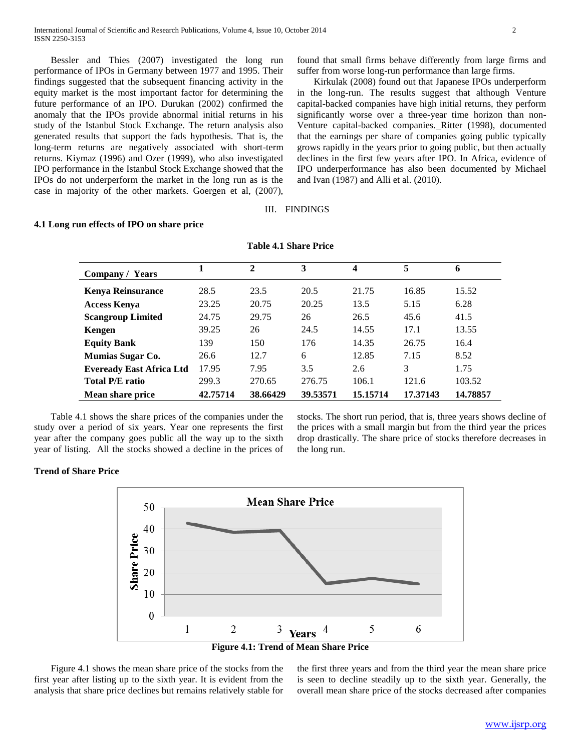Bessler and Thies (2007) investigated the long run performance of IPOs in Germany between 1977 and 1995. Their findings suggested that the subsequent financing activity in the equity market is the most important factor for determining the future performance of an IPO. Durukan (2002) confirmed the anomaly that the IPOs provide abnormal initial returns in his study of the Istanbul Stock Exchange. The return analysis also generated results that support the fads hypothesis. That is, the long-term returns are negatively associated with short-term returns. Kiymaz (1996) and Ozer (1999), who also investigated IPO performance in the Istanbul Stock Exchange showed that the IPOs do not underperform the market in the long run as is the case in majority of the other markets. Goergen et al, (2007),

found that small firms behave differently from large firms and suffer from worse long-run performance than large firms.

 Kirkulak (2008) found out that Japanese IPOs underperform in the long-run. The results suggest that although Venture capital-backed companies have high initial returns, they perform significantly worse over a three-year time horizon than non-Venture capital-backed companies. Ritter (1998), documented that the earnings per share of companies going public typically grows rapidly in the years prior to going public, but then actually declines in the first few years after IPO. In Africa, evidence of IPO underperformance has also been documented by Michael and Ivan (1987) and Alli et al. (2010).

# III. FINDINGS

#### **4.1 Long run effects of IPO on share price**

| Company / Years                 |          | $\mathbf{2}$ | 3        | 4        | 5        | 6        |
|---------------------------------|----------|--------------|----------|----------|----------|----------|
| <b>Kenya Reinsurance</b>        | 28.5     | 23.5         | 20.5     | 21.75    | 16.85    | 15.52    |
| <b>Access Kenya</b>             | 23.25    | 20.75        | 20.25    | 13.5     | 5.15     | 6.28     |
| <b>Scangroup Limited</b>        | 24.75    | 29.75        | 26       | 26.5     | 45.6     | 41.5     |
| Kengen                          | 39.25    | 26           | 24.5     | 14.55    | 17.1     | 13.55    |
| <b>Equity Bank</b>              | 139      | 150          | 176      | 14.35    | 26.75    | 16.4     |
| <b>Mumias Sugar Co.</b>         | 26.6     | 12.7         | 6        | 12.85    | 7.15     | 8.52     |
| <b>Eveready East Africa Ltd</b> | 17.95    | 7.95         | 3.5      | 2.6      | 3        | 1.75     |
| <b>Total P/E ratio</b>          | 299.3    | 270.65       | 276.75   | 106.1    | 121.6    | 103.52   |
| <b>Mean share price</b>         | 42.75714 | 38.66429     | 39.53571 | 15.15714 | 17.37143 | 14.78857 |

## **Table 4.1 Share Price**

 Table 4.1 shows the share prices of the companies under the study over a period of six years. Year one represents the first year after the company goes public all the way up to the sixth year of listing. All the stocks showed a decline in the prices of stocks. The short run period, that is, three years shows decline of the prices with a small margin but from the third year the prices drop drastically. The share price of stocks therefore decreases in the long run.

# **Trend of Share Price**



**Figure 4.1: Trend of Mean Share Price**

 Figure 4.1 shows the mean share price of the stocks from the first year after listing up to the sixth year. It is evident from the analysis that share price declines but remains relatively stable for the first three years and from the third year the mean share price is seen to decline steadily up to the sixth year. Generally, the overall mean share price of the stocks decreased after companies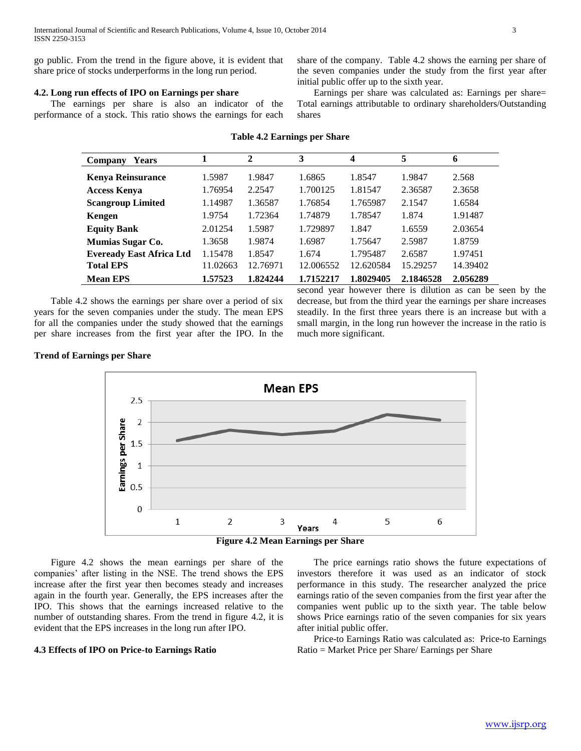go public. From the trend in the figure above, it is evident that share price of stocks underperforms in the long run period.

# **4.2. Long run effects of IPO on Earnings per share**

 The earnings per share is also an indicator of the performance of a stock. This ratio shows the earnings for each share of the company. Table 4.2 shows the earning per share of the seven companies under the study from the first year after initial public offer up to the sixth year.

 Earnings per share was calculated as: Earnings per share= Total earnings attributable to ordinary shareholders/Outstanding shares

| Company<br><b>Years</b>         |          | $\mathbf{2}$ | 3         | 4         | 5         | 6        |
|---------------------------------|----------|--------------|-----------|-----------|-----------|----------|
| <b>Kenya Reinsurance</b>        | 1.5987   | 1.9847       | 1.6865    | 1.8547    | 1.9847    | 2.568    |
| <b>Access Kenya</b>             | 1.76954  | 2.2547       | 1.700125  | 1.81547   | 2.36587   | 2.3658   |
| <b>Scangroup Limited</b>        | 1.14987  | 1.36587      | 1.76854   | 1.765987  | 2.1547    | 1.6584   |
| Kengen                          | 1.9754   | 1.72364      | 1.74879   | 1.78547   | 1.874     | 1.91487  |
| <b>Equity Bank</b>              | 2.01254  | 1.5987       | 1.729897  | 1.847     | 1.6559    | 2.03654  |
| Mumias Sugar Co.                | 1.3658   | 1.9874       | 1.6987    | 1.75647   | 2.5987    | 1.8759   |
| <b>Eveready East Africa Ltd</b> | 1.15478  | 1.8547       | 1.674     | 1.795487  | 2.6587    | 1.97451  |
| <b>Total EPS</b>                | 11.02663 | 12.76971     | 12.006552 | 12.620584 | 15.29257  | 14.39402 |
| <b>Mean EPS</b>                 | 1.57523  | 1.824244     | 1.7152217 | 1.8029405 | 2.1846528 | 2.056289 |

#### **Table 4.2 Earnings per Share**

 Table 4.2 shows the earnings per share over a period of six years for the seven companies under the study. The mean EPS for all the companies under the study showed that the earnings per share increases from the first year after the IPO. In the second year however there is dilution as can be seen by the decrease, but from the third year the earnings per share increases steadily. In the first three years there is an increase but with a small margin, in the long run however the increase in the ratio is much more significant.

# **Trend of Earnings per Share**





 Figure 4.2 shows the mean earnings per share of the companies" after listing in the NSE. The trend shows the EPS increase after the first year then becomes steady and increases again in the fourth year. Generally, the EPS increases after the IPO. This shows that the earnings increased relative to the number of outstanding shares. From the trend in figure 4.2, it is evident that the EPS increases in the long run after IPO.

### **4.3 Effects of IPO on Price-to Earnings Ratio**

 The price earnings ratio shows the future expectations of investors therefore it was used as an indicator of stock performance in this study. The researcher analyzed the price earnings ratio of the seven companies from the first year after the companies went public up to the sixth year. The table below shows Price earnings ratio of the seven companies for six years after initial public offer.

 Price-to Earnings Ratio was calculated as: Price-to Earnings Ratio = Market Price per Share/ Earnings per Share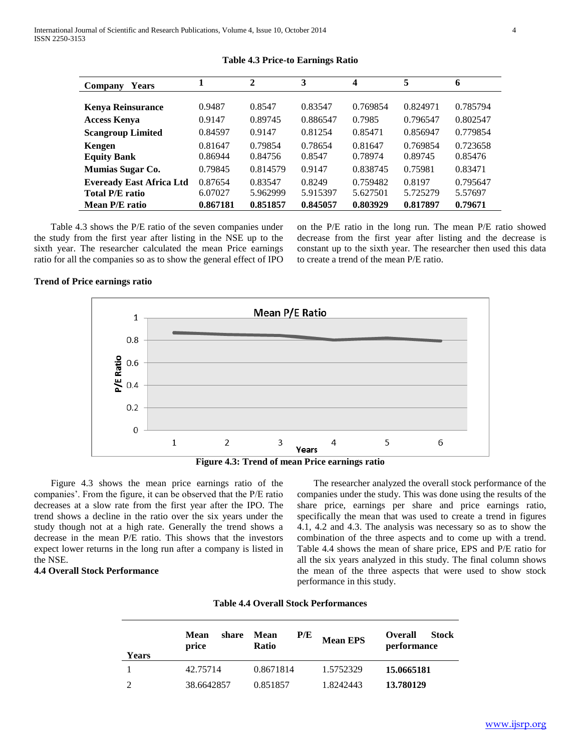| <b>Years</b><br>Company         |          | $\mathbf{2}$ | 3        | 4        | 5        | 6        |
|---------------------------------|----------|--------------|----------|----------|----------|----------|
|                                 |          |              |          |          |          |          |
| <b>Kenya Reinsurance</b>        | 0.9487   | 0.8547       | 0.83547  | 0.769854 | 0.824971 | 0.785794 |
| <b>Access Kenya</b>             | 0.9147   | 0.89745      | 0.886547 | 0.7985   | 0.796547 | 0.802547 |
| <b>Scangroup Limited</b>        | 0.84597  | 0.9147       | 0.81254  | 0.85471  | 0.856947 | 0.779854 |
| Kengen                          | 0.81647  | 0.79854      | 0.78654  | 0.81647  | 0.769854 | 0.723658 |
| <b>Equity Bank</b>              | 0.86944  | 0.84756      | 0.8547   | 0.78974  | 0.89745  | 0.85476  |
| Mumias Sugar Co.                | 0.79845  | 0.814579     | 0.9147   | 0.838745 | 0.75981  | 0.83471  |
| <b>Eveready East Africa Ltd</b> | 0.87654  | 0.83547      | 0.8249   | 0.759482 | 0.8197   | 0.795647 |
| <b>Total P/E ratio</b>          | 6.07027  | 5.962999     | 5.915397 | 5.627501 | 5.725279 | 5.57697  |
| Mean P/E ratio                  | 0.867181 | 0.851857     | 0.845057 | 0.803929 | 0.817897 | 0.79671  |

## **Table 4.3 Price-to Earnings Ratio**

 Table 4.3 shows the P/E ratio of the seven companies under the study from the first year after listing in the NSE up to the sixth year. The researcher calculated the mean Price earnings ratio for all the companies so as to show the general effect of IPO

on the P/E ratio in the long run. The mean P/E ratio showed decrease from the first year after listing and the decrease is constant up to the sixth year. The researcher then used this data to create a trend of the mean P/E ratio.

# **Trend of Price earnings ratio**



**Figure 4.3: Trend of mean Price earnings ratio**

 Figure 4.3 shows the mean price earnings ratio of the companies". From the figure, it can be observed that the P/E ratio decreases at a slow rate from the first year after the IPO. The trend shows a decline in the ratio over the six years under the study though not at a high rate. Generally the trend shows a decrease in the mean P/E ratio. This shows that the investors expect lower returns in the long run after a company is listed in the NSE.

# **4.4 Overall Stock Performance**

 The researcher analyzed the overall stock performance of the companies under the study. This was done using the results of the share price, earnings per share and price earnings ratio, specifically the mean that was used to create a trend in figures 4.1, 4.2 and 4.3. The analysis was necessary so as to show the combination of the three aspects and to come up with a trend. Table 4.4 shows the mean of share price, EPS and P/E ratio for all the six years analyzed in this study. The final column shows the mean of the three aspects that were used to show stock performance in this study.

| <b>Years</b> | share<br><b>Mean</b><br>price | P/E<br><b>Mean</b><br><b>Ratio</b> | <b>Mean EPS</b> | <b>Overall</b><br>Stock<br>performance |
|--------------|-------------------------------|------------------------------------|-----------------|----------------------------------------|
|              | 42.75714                      | 0.8671814                          | 1.5752329       | 15.0665181                             |
|              | 38.6642857                    | 0.851857                           | 1.8242443       | 13.780129                              |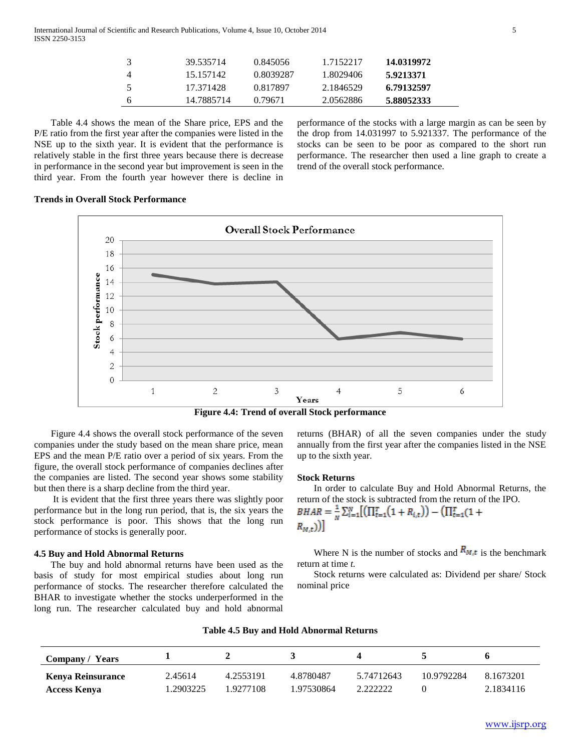|   | 39.535714  | 0.845056  | 1.7152217 | 14.0319972 |
|---|------------|-----------|-----------|------------|
|   | 15.157142  | 0.8039287 | 1.8029406 | 5.9213371  |
| 5 | 17.371428  | 0.817897  | 2.1846529 | 6.79132597 |
| 6 | 14.7885714 | 0.79671   | 2.0562886 | 5.88052333 |

 Table 4.4 shows the mean of the Share price, EPS and the P/E ratio from the first year after the companies were listed in the NSE up to the sixth year. It is evident that the performance is relatively stable in the first three years because there is decrease in performance in the second year but improvement is seen in the third year. From the fourth year however there is decline in

performance of the stocks with a large margin as can be seen by the drop from 14.031997 to 5.921337. The performance of the stocks can be seen to be poor as compared to the short run performance. The researcher then used a line graph to create a trend of the overall stock performance.

# **Trends in Overall Stock Performance**



**Figure 4.4: Trend of overall Stock performance**

 Figure 4.4 shows the overall stock performance of the seven companies under the study based on the mean share price, mean EPS and the mean P/E ratio over a period of six years. From the figure, the overall stock performance of companies declines after the companies are listed. The second year shows some stability but then there is a sharp decline from the third year.

 It is evident that the first three years there was slightly poor performance but in the long run period, that is, the six years the stock performance is poor. This shows that the long run performance of stocks is generally poor.

## **4.5 Buy and Hold Abnormal Returns**

 The buy and hold abnormal returns have been used as the basis of study for most empirical studies about long run performance of stocks. The researcher therefore calculated the BHAR to investigate whether the stocks underperformed in the long run. The researcher calculated buy and hold abnormal returns (BHAR) of all the seven companies under the study annually from the first year after the companies listed in the NSE up to the sixth year.

#### **Stock Returns**

 In order to calculate Buy and Hold Abnormal Returns, the return of the stock is subtracted from the return of the IPO.  $(TTT)$ 

$$
BHAR = \frac{1}{N} \sum_{i=1}^{N} \left[ (11_{t=1}^{t} (1 + R_{i,t})) - (11_{t=1}^{t} (1 + R_{N,t})) \right]
$$

Where N is the number of stocks and  $R_{M,t}$  is the benchmark return at time *t.*

 Stock returns were calculated as: Dividend per share/ Stock nominal price

| <b>Company / Years</b>   |          |           |            |            |            |           |
|--------------------------|----------|-----------|------------|------------|------------|-----------|
| <b>Kenya Reinsurance</b> | 2.45614  | 4.2553191 | 4.8780487  | 5.74712643 | 10.9792284 | 8.1673201 |
| <b>Access Kenya</b>      | .2903225 | 1.9277108 | 1.97530864 | 2.222222   |            | 2.1834116 |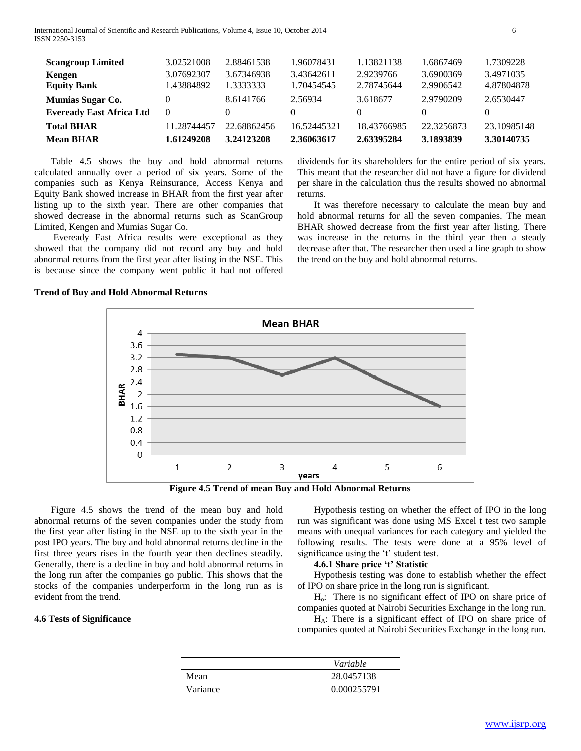International Journal of Scientific and Research Publications, Volume 4, Issue 10, October 2014 6 ISSN 2250-3153

| <b>Scangroup Limited</b>                            | 3.02521008  | 2.88461538     | 1.96078431  | 1.13821138    | 1.6867469      | 1.7309228   |
|-----------------------------------------------------|-------------|----------------|-------------|---------------|----------------|-------------|
| Kengen                                              | 3.07692307  | 3.67346938     | 3.43642611  | 2.9239766     | 3.6900369      | 3.4971035   |
| <b>Equity Bank</b>                                  | 1.43884892  | 1.3333333      | 1.70454545  | 2.78745644    | 2.9906542      | 4.87804878  |
| Mumias Sugar Co.<br><b>Eveready East Africa Ltd</b> | $\Omega$    | 8.6141766<br>0 | 2.56934     | 3.618677<br>0 | 2.9790209<br>0 | 2.6530447   |
| <b>Total BHAR</b>                                   | 11.28744457 | 22.68862456    | 16.52445321 | 18.43766985   | 22.3256873     | 23.10985148 |
| <b>Mean BHAR</b>                                    | 1.61249208  | 3.24123208     | 2.36063617  | 2.63395284    | 3.1893839      | 3.30140735  |

 Table 4.5 shows the buy and hold abnormal returns calculated annually over a period of six years. Some of the companies such as Kenya Reinsurance, Access Kenya and Equity Bank showed increase in BHAR from the first year after listing up to the sixth year. There are other companies that showed decrease in the abnormal returns such as ScanGroup Limited, Kengen and Mumias Sugar Co.

 Eveready East Africa results were exceptional as they showed that the company did not record any buy and hold abnormal returns from the first year after listing in the NSE. This is because since the company went public it had not offered dividends for its shareholders for the entire period of six years. This meant that the researcher did not have a figure for dividend per share in the calculation thus the results showed no abnormal returns.

 It was therefore necessary to calculate the mean buy and hold abnormal returns for all the seven companies. The mean BHAR showed decrease from the first year after listing. There was increase in the returns in the third year then a steady decrease after that. The researcher then used a line graph to show the trend on the buy and hold abnormal returns.

# **Trend of Buy and Hold Abnormal Returns**



**Figure 4.5 Trend of mean Buy and Hold Abnormal Returns**

 Figure 4.5 shows the trend of the mean buy and hold abnormal returns of the seven companies under the study from the first year after listing in the NSE up to the sixth year in the post IPO years. The buy and hold abnormal returns decline in the first three years rises in the fourth year then declines steadily. Generally, there is a decline in buy and hold abnormal returns in the long run after the companies go public. This shows that the stocks of the companies underperform in the long run as is evident from the trend.

# **4.6 Tests of Significance**

 Hypothesis testing on whether the effect of IPO in the long run was significant was done using MS Excel t test two sample means with unequal variances for each category and yielded the following results. The tests were done at a 95% level of significance using the 't' student test.

# **4.6.1 Share price 't' Statistic**

 Hypothesis testing was done to establish whether the effect of IPO on share price in the long run is significant.

 Ho: There is no significant effect of IPO on share price of companies quoted at Nairobi Securities Exchange in the long run.

 HA: There is a significant effect of IPO on share price of companies quoted at Nairobi Securities Exchange in the long run.

|          | Variable    |
|----------|-------------|
| Mean     | 28.0457138  |
| Variance | 0.000255791 |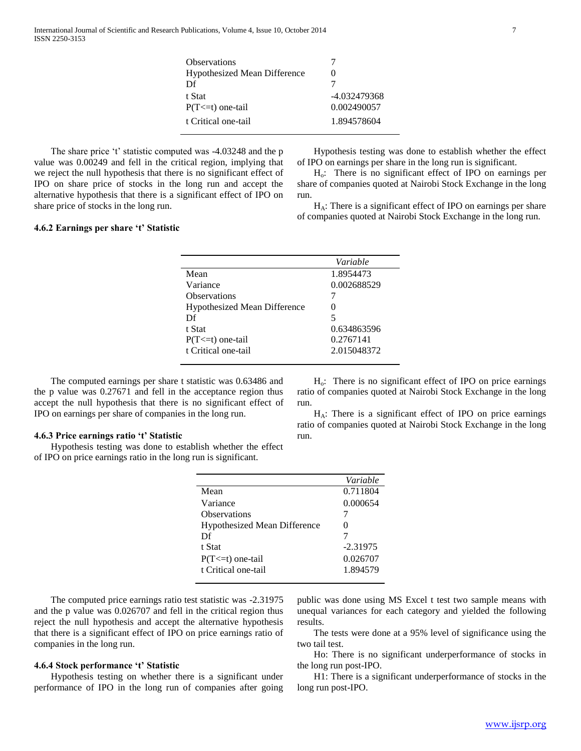| <b>Observations</b>                 |              |
|-------------------------------------|--------------|
| <b>Hypothesized Mean Difference</b> |              |
| $\mathbf{D}$ f                      |              |
| t Stat                              | -4.032479368 |
| $P(T \le t)$ one-tail               | 0.002490057  |
| t Critical one-tail                 | 1.894578604  |
|                                     |              |

The share price 't' statistic computed was -4.03248 and the p value was 0.00249 and fell in the critical region, implying that we reject the null hypothesis that there is no significant effect of IPO on share price of stocks in the long run and accept the alternative hypothesis that there is a significant effect of IPO on share price of stocks in the long run.

 Hypothesis testing was done to establish whether the effect of IPO on earnings per share in the long run is significant.

 Ho: There is no significant effect of IPO on earnings per share of companies quoted at Nairobi Stock Exchange in the long run.

 HA: There is a significant effect of IPO on earnings per share of companies quoted at Nairobi Stock Exchange in the long run.

# **4.6.2 Earnings per share 't' Statistic**

|                                     | Variable    |
|-------------------------------------|-------------|
| Mean                                | 1.8954473   |
| Variance                            | 0.002688529 |
| <b>Observations</b>                 |             |
| <b>Hypothesized Mean Difference</b> |             |
| Df                                  | 5           |
| t Stat                              | 0.634863596 |
| $P(T \le t)$ one-tail               | 0.2767141   |
| t Critical one-tail                 | 2.015048372 |
|                                     |             |

 The computed earnings per share t statistic was 0.63486 and the p value was 0.27671 and fell in the acceptance region thus accept the null hypothesis that there is no significant effect of IPO on earnings per share of companies in the long run.

#### **4.6.3 Price earnings ratio 't' Statistic**

 Hypothesis testing was done to establish whether the effect of IPO on price earnings ratio in the long run is significant.

 $H<sub>o</sub>$ : There is no significant effect of IPO on price earnings ratio of companies quoted at Nairobi Stock Exchange in the long run.

 $H_A$ : There is a significant effect of IPO on price earnings ratio of companies quoted at Nairobi Stock Exchange in the long run.

|                                     | Variable   |
|-------------------------------------|------------|
| Mean                                | 0.711804   |
| Variance                            | 0.000654   |
| Observations                        |            |
| <b>Hypothesized Mean Difference</b> |            |
| Df                                  |            |
| t Stat                              | $-2.31975$ |
| $P(T \le t)$ one-tail               | 0.026707   |
| t Critical one-tail                 | 1.894579   |

 The computed price earnings ratio test statistic was -2.31975 and the p value was 0.026707 and fell in the critical region thus reject the null hypothesis and accept the alternative hypothesis that there is a significant effect of IPO on price earnings ratio of companies in the long run.

#### **4.6.4 Stock performance 't' Statistic**

 Hypothesis testing on whether there is a significant under performance of IPO in the long run of companies after going public was done using MS Excel t test two sample means with unequal variances for each category and yielded the following results.

 The tests were done at a 95% level of significance using the two tail test.

 Ho: There is no significant underperformance of stocks in the long run post-IPO.

 H1: There is a significant underperformance of stocks in the long run post-IPO.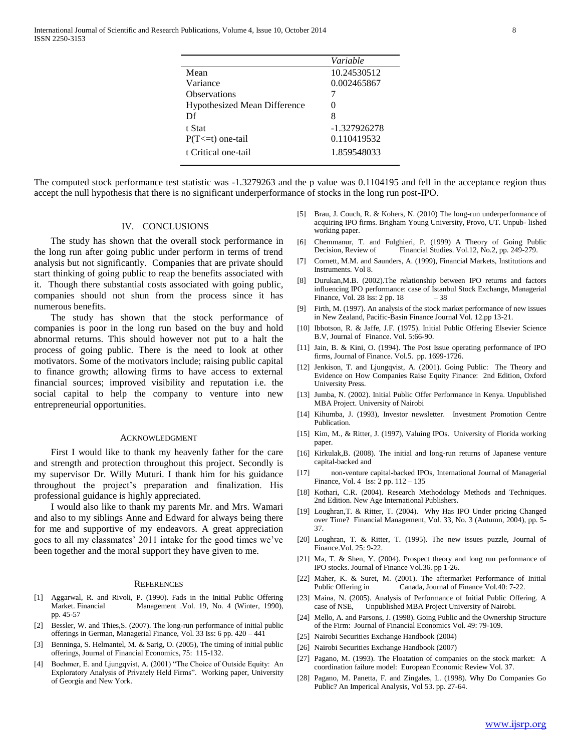|                                     | Variable          |
|-------------------------------------|-------------------|
| Mean                                | 10.24530512       |
| Variance                            | 0.002465867       |
| <b>Observations</b>                 |                   |
| <b>Hypothesized Mean Difference</b> | $\mathbf{\Omega}$ |
| Df                                  | 8                 |
| t Stat                              | -1.327926278      |
| $P(T \le t)$ one-tail               | 0.110419532       |
| t Critical one-tail                 | 1.859548033       |
|                                     |                   |

The computed stock performance test statistic was -1.3279263 and the p value was 0.1104195 and fell in the acceptance region thus accept the null hypothesis that there is no significant underperformance of stocks in the long run post-IPO.

# IV. CONCLUSIONS

 The study has shown that the overall stock performance in the long run after going public under perform in terms of trend analysis but not significantly. Companies that are private should start thinking of going public to reap the benefits associated with it. Though there substantial costs associated with going public, companies should not shun from the process since it has numerous benefits.

 The study has shown that the stock performance of companies is poor in the long run based on the buy and hold abnormal returns. This should however not put to a halt the process of going public. There is the need to look at other motivators. Some of the motivators include; raising public capital to finance growth; allowing firms to have access to external financial sources; improved visibility and reputation i.e. the social capital to help the company to venture into new entrepreneurial opportunities.

#### ACKNOWLEDGMENT

 First I would like to thank my heavenly father for the care and strength and protection throughout this project. Secondly is my supervisor Dr. Willy Muturi. I thank him for his guidance throughout the project"s preparation and finalization. His professional guidance is highly appreciated.

 I would also like to thank my parents Mr. and Mrs. Wamari and also to my siblings Anne and Edward for always being there for me and supportive of my endeavors. A great appreciation goes to all my classmates' 2011 intake for the good times we've been together and the moral support they have given to me.

#### **REFERENCES**

- [1] Aggarwal, R. and Rivoli, P. (1990). Fads in the Initial Public Offering Market. Financial Management .Vol. 19, No. 4 (Winter, 1990), pp. 45-57
- [2] Bessler, W. and Thies,S. (2007). The long-run performance of initial public offerings in German, Managerial Finance, Vol. 33 Iss: 6 pp. 420 – 441
- [3] Benninga, S. Helmantel, M. & Sarig, O. (2005), The timing of initial public offerings, Journal of Financial Economics, 75: 115-132.
- [4] Boehmer, E. and Ljungqvist, A. (2001) "The Choice of Outside Equity: An Exploratory Analysis of Privately Held Firms". Working paper, University of Georgia and New York.
- [5] Brau, J. Couch, R. & Kohers, N. (2010) The long-run underperformance of acquiring IPO firms. Brigham Young University, Provo, UT. Unpub- lished working paper.
- [6] Chemmanur, T. and Fulghieri, P. (1999) A Theory of Going Public Decision, Review of Financial Studies. Vol.12, No.2, pp. 249-279.
- [7] Cornett, M.M. and Saunders, A. (1999), Financial Markets, Institutions and Instruments. Vol 8.
- [8] Durukan,M.B. (2002).The relationship between IPO returns and factors influencing IPO performance: case of Istanbul Stock Exchange, Managerial Finance, Vol. 28 Iss: 2 pp. 18 – 38
- [9] Firth, M. (1997). An analysis of the stock market performance of new issues in New Zealand, Pacific-Basin Finance Journal Vol. 12.pp 13-21.
- [10] Ibbotson, R. & Jaffe, J.F. (1975). Initial Public Offering Elsevier Science B.V, Journal of Finance. Vol. 5:66-90.
- [11] Jain, B. & Kini, O. (1994). The Post Issue operating performance of IPO firms, Journal of Finance. Vol.5. pp. 1699-1726.
- [12] Jenkison, T. and Ljungqvist, A. (2001). Going Public: The Theory and Evidence on How Companies Raise Equity Finance: 2nd Edition, Oxford University Press.
- [13] Jumba, N. (2002). Initial Public Offer Performance in Kenya. Unpublished MBA Project. University of Nairobi
- [14] Kihumba, J. (1993), Investor newsletter. Investment Promotion Centre Publication.
- [15] Kim, M., & Ritter, J. (1997), Valuing IPOs. University of Florida working paper.
- [16] Kirkulak,B. (2008). The initial and long-run returns of Japanese venture capital-backed and
- [17] non-venture capital-backed IPOs, International Journal of Managerial Finance, Vol. 4 Iss: 2 pp. 112 – 135
- [18] Kothari, C.R. (2004). Research Methodology Methods and Techniques. 2nd Edition. New Age International Publishers.
- [19] Loughran,T. & Ritter, T. (2004). Why Has IPO Under pricing Changed over Time? Financial Management, Vol. 33, No. 3 (Autumn, 2004), pp. 5- 37.
- [20] Loughran, T. & Ritter, T. (1995). The new issues puzzle, Journal of Finance.Vol. 25: 9-22.
- [21] Ma, T. & Shen, Y. (2004). Prospect theory and long run performance of IPO stocks. Journal of Finance Vol.36. pp 1-26.
- [22] Maher, K. & Suret, M. (2001). The aftermarket Performance of Initial Public Offering in Canada, Journal of Finance Vol.40: 7-22.
- [23] Maina, N. (2005). Analysis of Performance of Initial Public Offering. A Unpublished MBA Project University of Nairobi.
- [24] Mello, A. and Parsons, J. (1998). Going Public and the Ownership Structure of the Firm: Journal of Financial Economics Vol. 49: 79-109.
- [25] Nairobi Securities Exchange Handbook (2004)
- [26] Nairobi Securities Exchange Handbook (2007)
- [27] Pagano, M. (1993). The Floatation of companies on the stock market: A coordination failure model: European Economic Review Vol. 37.
- [28] Pagano, M. Panetta, F. and Zingales, L. (1998). Why Do Companies Go Public? An Imperical Analysis, Vol 53. pp. 27-64.